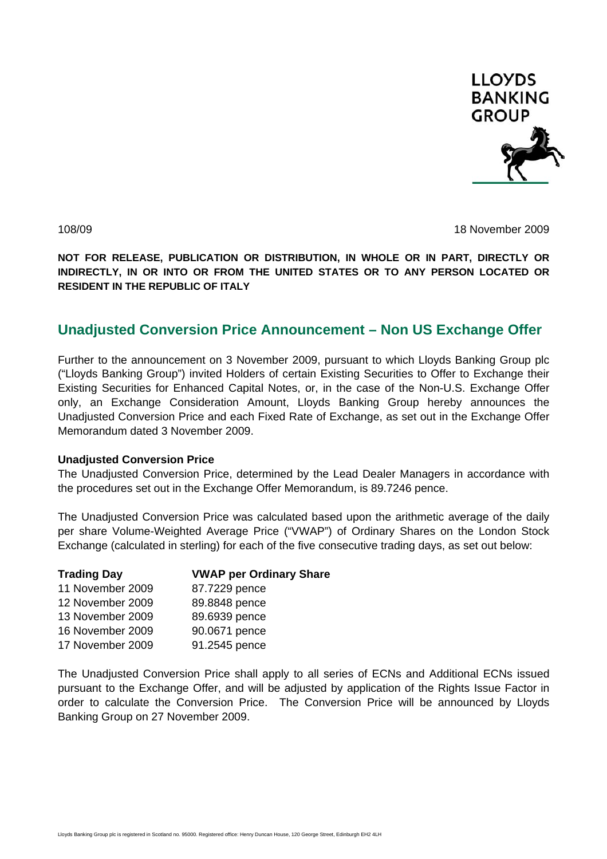

108/09 18 November 2009

**NOT FOR RELEASE, PUBLICATION OR DISTRIBUTION, IN WHOLE OR IN PART, DIRECTLY OR INDIRECTLY, IN OR INTO OR FROM THE UNITED STATES OR TO ANY PERSON LOCATED OR RESIDENT IN THE REPUBLIC OF ITALY** 

# **Unadjusted Conversion Price Announcement – Non US Exchange Offer**

Further to the announcement on 3 November 2009, pursuant to which Lloyds Banking Group plc ("Lloyds Banking Group") invited Holders of certain Existing Securities to Offer to Exchange their Existing Securities for Enhanced Capital Notes, or, in the case of the Non-U.S. Exchange Offer only, an Exchange Consideration Amount, Lloyds Banking Group hereby announces the Unadjusted Conversion Price and each Fixed Rate of Exchange, as set out in the Exchange Offer Memorandum dated 3 November 2009.

## **Unadjusted Conversion Price**

The Unadjusted Conversion Price, determined by the Lead Dealer Managers in accordance with the procedures set out in the Exchange Offer Memorandum, is 89.7246 pence.

The Unadjusted Conversion Price was calculated based upon the arithmetic average of the daily per share Volume-Weighted Average Price ("VWAP") of Ordinary Shares on the London Stock Exchange (calculated in sterling) for each of the five consecutive trading days, as set out below:

| <b>Trading Day</b> | <b>VWAP per Ordinary Share</b> |
|--------------------|--------------------------------|
| 11 November 2009   | 87.7229 pence                  |
| 12 November 2009   | 89.8848 pence                  |
| 13 November 2009   | 89.6939 pence                  |
| 16 November 2009   | 90.0671 pence                  |
| 17 November 2009   | 91.2545 pence                  |

The Unadjusted Conversion Price shall apply to all series of ECNs and Additional ECNs issued pursuant to the Exchange Offer, and will be adjusted by application of the Rights Issue Factor in order to calculate the Conversion Price. The Conversion Price will be announced by Lloyds Banking Group on 27 November 2009.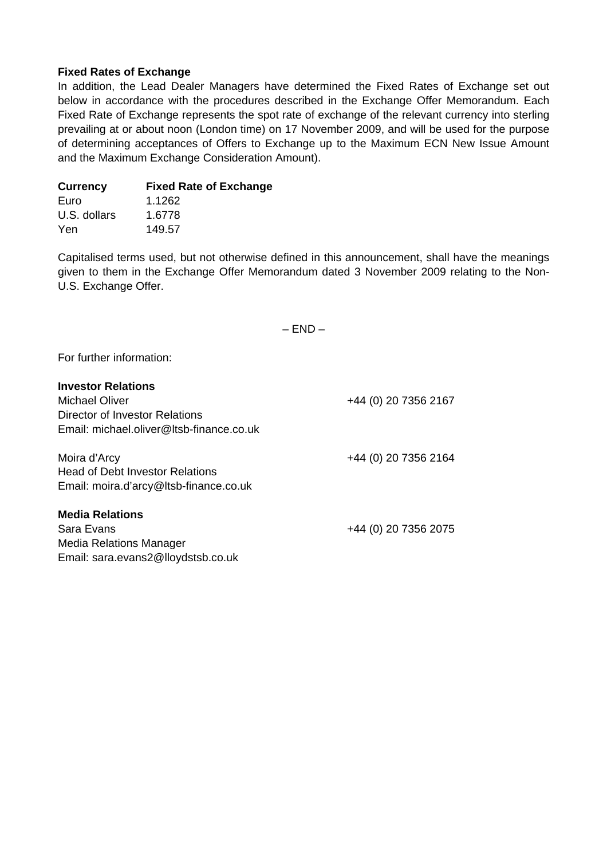## **Fixed Rates of Exchange**

In addition, the Lead Dealer Managers have determined the Fixed Rates of Exchange set out below in accordance with the procedures described in the Exchange Offer Memorandum. Each Fixed Rate of Exchange represents the spot rate of exchange of the relevant currency into sterling prevailing at or about noon (London time) on 17 November 2009, and will be used for the purpose of determining acceptances of Offers to Exchange up to the Maximum ECN New Issue Amount and the Maximum Exchange Consideration Amount).

| Currency     | <b>Fixed Rate of Exchange</b> |
|--------------|-------------------------------|
| Euro         | 1.1262                        |
| U.S. dollars | 1.6778                        |
| Yen          | 149.57                        |

Capitalised terms used, but not otherwise defined in this announcement, shall have the meanings given to them in the Exchange Offer Memorandum dated 3 November 2009 relating to the Non-U.S. Exchange Offer.

 $-$  END  $-$ 

For further information:

| +44 (0) 20 7356 2167 |
|----------------------|
|                      |
|                      |
| +44 (0) 20 7356 2164 |
|                      |
|                      |
|                      |
| +44 (0) 20 7356 2075 |
|                      |
|                      |
|                      |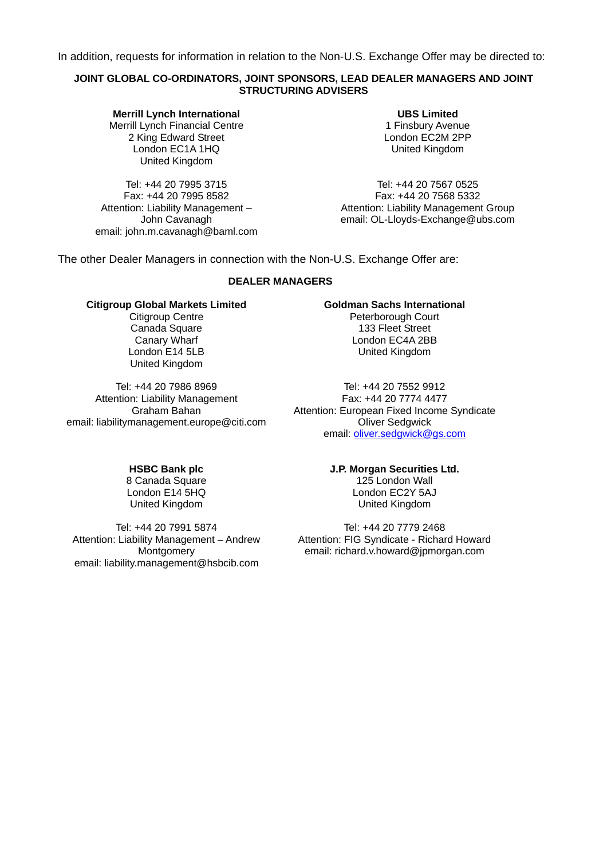In addition, requests for information in relation to the Non-U.S. Exchange Offer may be directed to:

#### **JOINT GLOBAL CO-ORDINATORS, JOINT SPONSORS, LEAD DEALER MANAGERS AND JOINT STRUCTURING ADVISERS**

**Merrill Lynch International**  Merrill Lynch Financial Centre 2 King Edward Street London EC1A 1HQ United Kingdom

Tel: +44 20 7995 3715 Fax: +44 20 7995 8582 Attention: Liability Management – John Cavanagh email: john.m.cavanagh@baml.com

**UBS Limited**  1 Finsbury Avenue London EC2M 2PP United Kingdom

Tel: +44 20 7567 0525 Fax: +44 20 7568 5332 Attention: Liability Management Group email: OL-Lloyds-Exchange@ubs.com

The other Dealer Managers in connection with the Non-U.S. Exchange Offer are:

#### **DEALER MANAGERS**

#### **Citigroup Global Markets Limited**

Citigroup Centre Canada Square Canary Wharf London E14 5LB United Kingdom

Tel: +44 20 7986 8969 Attention: Liability Management Graham Bahan email: liabilitymanagement.europe@citi.com

#### **Goldman Sachs International**

Peterborough Court 133 Fleet Street London EC4A 2BB United Kingdom

Tel: +44 20 7552 9912 Fax: +44 20 7774 4477 Attention: European Fixed Income Syndicate Oliver Sedgwick email: [oliver.sedgwick@gs.com](mailto:oliver.sedgwick@gs.com)

#### **HSBC Bank plc**

8 Canada Square London E14 5HQ United Kingdom

Tel: +44 20 7991 5874 Attention: Liability Management – Andrew **Montgomery** email: liability.management@hsbcib.com

#### **J.P. Morgan Securities Ltd.**

125 London Wall London EC2Y 5AJ United Kingdom

Tel: +44 20 7779 2468 Attention: FIG Syndicate - Richard Howard email: richard.v.howard@jpmorgan.com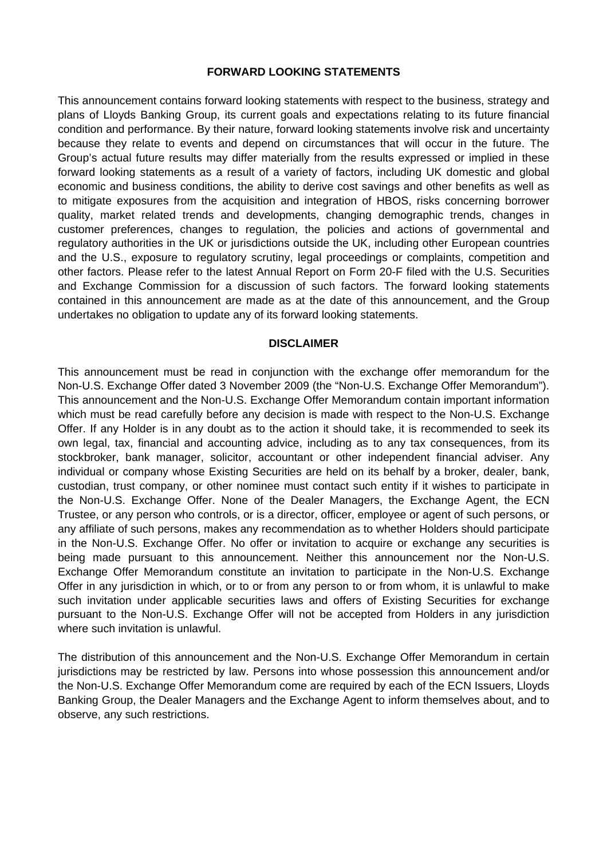#### **FORWARD LOOKING STATEMENTS**

This announcement contains forward looking statements with respect to the business, strategy and plans of Lloyds Banking Group, its current goals and expectations relating to its future financial condition and performance. By their nature, forward looking statements involve risk and uncertainty because they relate to events and depend on circumstances that will occur in the future. The Group's actual future results may differ materially from the results expressed or implied in these forward looking statements as a result of a variety of factors, including UK domestic and global economic and business conditions, the ability to derive cost savings and other benefits as well as to mitigate exposures from the acquisition and integration of HBOS, risks concerning borrower quality, market related trends and developments, changing demographic trends, changes in customer preferences, changes to regulation, the policies and actions of governmental and regulatory authorities in the UK or jurisdictions outside the UK, including other European countries and the U.S., exposure to regulatory scrutiny, legal proceedings or complaints, competition and other factors. Please refer to the latest Annual Report on Form 20-F filed with the U.S. Securities and Exchange Commission for a discussion of such factors. The forward looking statements contained in this announcement are made as at the date of this announcement, and the Group undertakes no obligation to update any of its forward looking statements.

#### **DISCLAIMER**

This announcement must be read in conjunction with the exchange offer memorandum for the Non-U.S. Exchange Offer dated 3 November 2009 (the "Non-U.S. Exchange Offer Memorandum"). This announcement and the Non-U.S. Exchange Offer Memorandum contain important information which must be read carefully before any decision is made with respect to the Non-U.S. Exchange Offer. If any Holder is in any doubt as to the action it should take, it is recommended to seek its own legal, tax, financial and accounting advice, including as to any tax consequences, from its stockbroker, bank manager, solicitor, accountant or other independent financial adviser. Any individual or company whose Existing Securities are held on its behalf by a broker, dealer, bank, custodian, trust company, or other nominee must contact such entity if it wishes to participate in the Non-U.S. Exchange Offer. None of the Dealer Managers, the Exchange Agent, the ECN Trustee, or any person who controls, or is a director, officer, employee or agent of such persons, or any affiliate of such persons, makes any recommendation as to whether Holders should participate in the Non-U.S. Exchange Offer. No offer or invitation to acquire or exchange any securities is being made pursuant to this announcement. Neither this announcement nor the Non-U.S. Exchange Offer Memorandum constitute an invitation to participate in the Non-U.S. Exchange Offer in any jurisdiction in which, or to or from any person to or from whom, it is unlawful to make such invitation under applicable securities laws and offers of Existing Securities for exchange pursuant to the Non-U.S. Exchange Offer will not be accepted from Holders in any jurisdiction where such invitation is unlawful.

The distribution of this announcement and the Non-U.S. Exchange Offer Memorandum in certain jurisdictions may be restricted by law. Persons into whose possession this announcement and/or the Non-U.S. Exchange Offer Memorandum come are required by each of the ECN Issuers, Lloyds Banking Group, the Dealer Managers and the Exchange Agent to inform themselves about, and to observe, any such restrictions.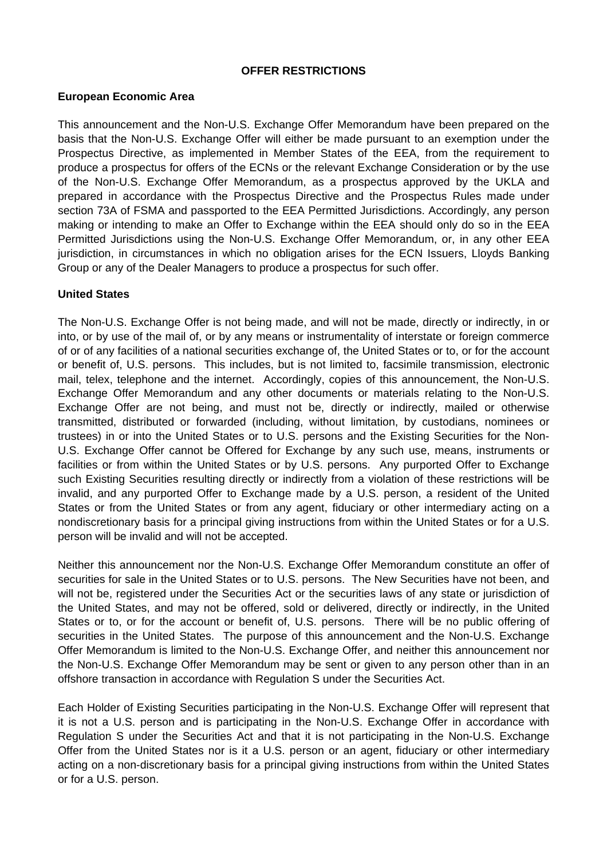## **OFFER RESTRICTIONS**

# **European Economic Area**

This announcement and the Non-U.S. Exchange Offer Memorandum have been prepared on the basis that the Non-U.S. Exchange Offer will either be made pursuant to an exemption under the Prospectus Directive, as implemented in Member States of the EEA, from the requirement to produce a prospectus for offers of the ECNs or the relevant Exchange Consideration or by the use of the Non-U.S. Exchange Offer Memorandum, as a prospectus approved by the UKLA and prepared in accordance with the Prospectus Directive and the Prospectus Rules made under section 73A of FSMA and passported to the EEA Permitted Jurisdictions. Accordingly, any person making or intending to make an Offer to Exchange within the EEA should only do so in the EEA Permitted Jurisdictions using the Non-U.S. Exchange Offer Memorandum, or, in any other EEA jurisdiction, in circumstances in which no obligation arises for the ECN Issuers, Lloyds Banking Group or any of the Dealer Managers to produce a prospectus for such offer.

# **United States**

The Non-U.S. Exchange Offer is not being made, and will not be made, directly or indirectly, in or into, or by use of the mail of, or by any means or instrumentality of interstate or foreign commerce of or of any facilities of a national securities exchange of, the United States or to, or for the account or benefit of, U.S. persons. This includes, but is not limited to, facsimile transmission, electronic mail, telex, telephone and the internet. Accordingly, copies of this announcement, the Non-U.S. Exchange Offer Memorandum and any other documents or materials relating to the Non-U.S. Exchange Offer are not being, and must not be, directly or indirectly, mailed or otherwise transmitted, distributed or forwarded (including, without limitation, by custodians, nominees or trustees) in or into the United States or to U.S. persons and the Existing Securities for the Non-U.S. Exchange Offer cannot be Offered for Exchange by any such use, means, instruments or facilities or from within the United States or by U.S. persons. Any purported Offer to Exchange such Existing Securities resulting directly or indirectly from a violation of these restrictions will be invalid, and any purported Offer to Exchange made by a U.S. person, a resident of the United States or from the United States or from any agent, fiduciary or other intermediary acting on a nondiscretionary basis for a principal giving instructions from within the United States or for a U.S. person will be invalid and will not be accepted.

Neither this announcement nor the Non-U.S. Exchange Offer Memorandum constitute an offer of securities for sale in the United States or to U.S. persons. The New Securities have not been, and will not be, registered under the Securities Act or the securities laws of any state or jurisdiction of the United States, and may not be offered, sold or delivered, directly or indirectly, in the United States or to, or for the account or benefit of, U.S. persons. There will be no public offering of securities in the United States. The purpose of this announcement and the Non-U.S. Exchange Offer Memorandum is limited to the Non-U.S. Exchange Offer, and neither this announcement nor the Non-U.S. Exchange Offer Memorandum may be sent or given to any person other than in an offshore transaction in accordance with Regulation S under the Securities Act.

Each Holder of Existing Securities participating in the Non-U.S. Exchange Offer will represent that it is not a U.S. person and is participating in the Non-U.S. Exchange Offer in accordance with Regulation S under the Securities Act and that it is not participating in the Non-U.S. Exchange Offer from the United States nor is it a U.S. person or an agent, fiduciary or other intermediary acting on a non-discretionary basis for a principal giving instructions from within the United States or for a U.S. person.